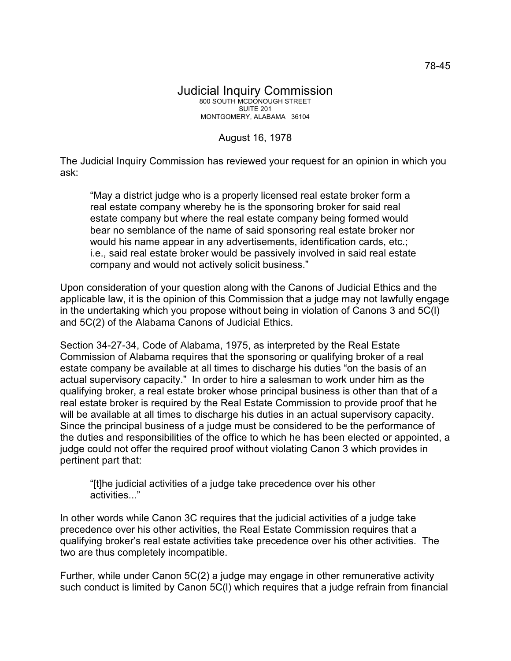## Judicial Inquiry Commission 800 SOUTH MCDONOUGH STREET SUITE 201 MONTGOMERY, ALABAMA 36104

## August 16, 1978

The Judicial Inquiry Commission has reviewed your request for an opinion in which you ask:

"May a district judge who is a properly licensed real estate broker form a real estate company whereby he is the sponsoring broker for said real estate company but where the real estate company being formed would bear no semblance of the name of said sponsoring real estate broker nor would his name appear in any advertisements, identification cards, etc.; i.e., said real estate broker would be passively involved in said real estate company and would not actively solicit business."

Upon consideration of your question along with the Canons of Judicial Ethics and the applicable law, it is the opinion of this Commission that a judge may not lawfully engage in the undertaking which you propose without being in violation of Canons 3 and 5C(l) and 5C(2) of the Alabama Canons of Judicial Ethics.

Section 34-27-34, Code of Alabama, 1975, as interpreted by the Real Estate Commission of Alabama requires that the sponsoring or qualifying broker of a real estate company be available at all times to discharge his duties "on the basis of an actual supervisory capacity." In order to hire a salesman to work under him as the qualifying broker, a real estate broker whose principal business is other than that of a real estate broker is required by the Real Estate Commission to provide proof that he will be available at all times to discharge his duties in an actual supervisory capacity. Since the principal business of a judge must be considered to be the performance of the duties and responsibilities of the office to which he has been elected or appointed, a judge could not offer the required proof without violating Canon 3 which provides in pertinent part that:

"[t]he judicial activities of a judge take precedence over his other activities..."

In other words while Canon 3C requires that the judicial activities of a judge take precedence over his other activities, the Real Estate Commission requires that a qualifying broker's real estate activities take precedence over his other activities. The two are thus completely incompatible.

Further, while under Canon 5C(2) a judge may engage in other remunerative activity such conduct is limited by Canon 5C(l) which requires that a judge refrain from financial